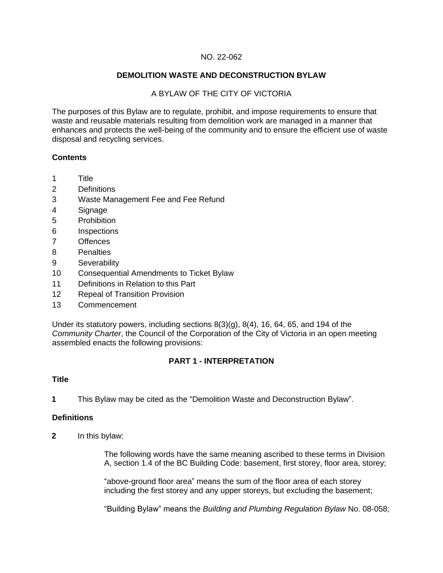#### NO. 22-062

#### **DEMOLITION WASTE AND DECONSTRUCTION BYLAW**

#### A BYLAW OF THE CITY OF VICTORIA

The purposes of this Bylaw are to regulate, prohibit, and impose requirements to ensure that waste and reusable materials resulting from demolition work are managed in a manner that enhances and protects the well-being of the community and to ensure the efficient use of waste disposal and recycling services.

#### **Contents**

- 1 Title
- 2 Definitions
- 3 Waste Management Fee and Fee Refund
- 4 Signage
- 5 Prohibition
- 6 Inspections
- 7 Offences
- 8 Penalties
- 9 Severability
- 10 Consequential Amendments to Ticket Bylaw
- 11 Definitions in Relation to this Part
- 12 Repeal of Transition Provision
- 13 Commencement

Under its statutory powers, including sections 8(3)(g), 8(4), 16, 64, 65, and 194 of the *Community Charter*, the Council of the Corporation of the City of Victoria in an open meeting assembled enacts the following provisions:

#### **PART 1 - INTERPRETATION**

#### **Title**

**1** This Bylaw may be cited as the "Demolition Waste and Deconstruction Bylaw".

#### **Definitions**

**2** In this bylaw:

The following words have the same meaning ascribed to these terms in Division A, section 1.4 of the BC Building Code: basement, first storey, floor area, storey;

"above-ground floor area" means the sum of the floor area of each storey including the first storey and any upper storeys, but excluding the basement;

"Building Bylaw" means the *Building and Plumbing Regulation Bylaw* No. 08-058;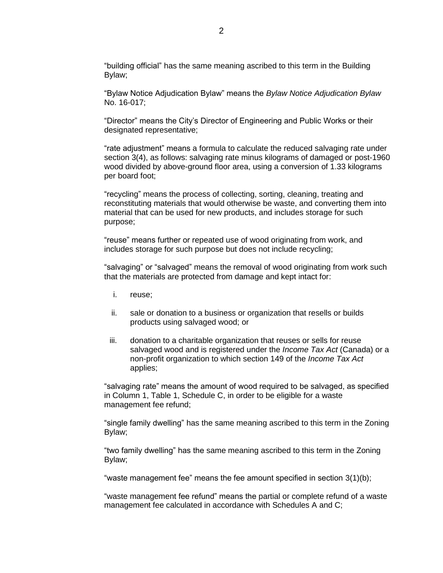"building official" has the same meaning ascribed to this term in the Building Bylaw;

"Bylaw Notice Adjudication Bylaw" means the *Bylaw Notice Adjudication Bylaw*  No. 16-017;

"Director" means the City's Director of Engineering and Public Works or their designated representative;

"rate adjustment" means a formula to calculate the reduced salvaging rate under section 3(4), as follows: salvaging rate minus kilograms of damaged or post-1960 wood divided by above-ground floor area, using a conversion of 1.33 kilograms per board foot;

"recycling" means the process of collecting, sorting, cleaning, treating and reconstituting materials that would otherwise be waste, and converting them into material that can be used for new products, and includes storage for such purpose;

"reuse" means further or repeated use of wood originating from work, and includes storage for such purpose but does not include recycling;

"salvaging" or "salvaged" means the removal of wood originating from work such that the materials are protected from damage and kept intact for:

- i. reuse;
- ii. sale or donation to a business or organization that resells or builds products using salvaged wood; or
- iii. donation to a charitable organization that reuses or sells for reuse salvaged wood and is registered under the *Income Tax Act* (Canada) or a non-profit organization to which section 149 of the *Income Tax Act*  applies;

"salvaging rate" means the amount of wood required to be salvaged, as specified in Column 1, Table 1, Schedule C, in order to be eligible for a waste management fee refund;

"single family dwelling" has the same meaning ascribed to this term in the Zoning Bylaw;

"two family dwelling" has the same meaning ascribed to this term in the Zoning Bylaw;

"waste management fee" means the fee amount specified in section 3(1)(b);

"waste management fee refund" means the partial or complete refund of a waste management fee calculated in accordance with Schedules A and C;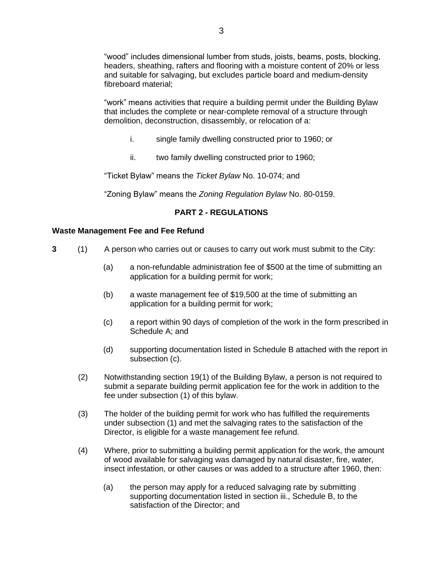"wood" includes dimensional lumber from studs, joists, beams, posts, blocking, headers, sheathing, rafters and flooring with a moisture content of 20% or less and suitable for salvaging, but excludes particle board and medium-density fibreboard material;

"work" means activities that require a building permit under the Building Bylaw that includes the complete or near-complete removal of a structure through demolition, deconstruction, disassembly, or relocation of a:

- i. single family dwelling constructed prior to 1960; or
- ii. two family dwelling constructed prior to 1960;

"Ticket Bylaw" means the *Ticket Bylaw* No. 10-074; and

"Zoning Bylaw" means the *Zoning Regulation Bylaw* No. 80-0159.

#### **PART 2 - REGULATIONS**

#### **Waste Management Fee and Fee Refund**

- **3** (1) A person who carries out or causes to carry out work must submit to the City:
	- (a) a non-refundable administration fee of \$500 at the time of submitting an application for a building permit for work;
	- (b) a waste management fee of \$19,500 at the time of submitting an application for a building permit for work;
	- (c) a report within 90 days of completion of the work in the form prescribed in Schedule A; and
	- (d) supporting documentation listed in Schedule B attached with the report in subsection (c).
	- (2) Notwithstanding section 19(1) of the Building Bylaw, a person is not required to submit a separate building permit application fee for the work in addition to the fee under subsection (1) of this bylaw.
	- (3) The holder of the building permit for work who has fulfilled the requirements under subsection (1) and met the salvaging rates to the satisfaction of the Director, is eligible for a waste management fee refund.
	- (4) Where, prior to submitting a building permit application for the work, the amount of wood available for salvaging was damaged by natural disaster, fire, water, insect infestation, or other causes or was added to a structure after 1960, then:
		- (a) the person may apply for a reduced salvaging rate by submitting supporting documentation listed in section iii., Schedule B, to the satisfaction of the Director; and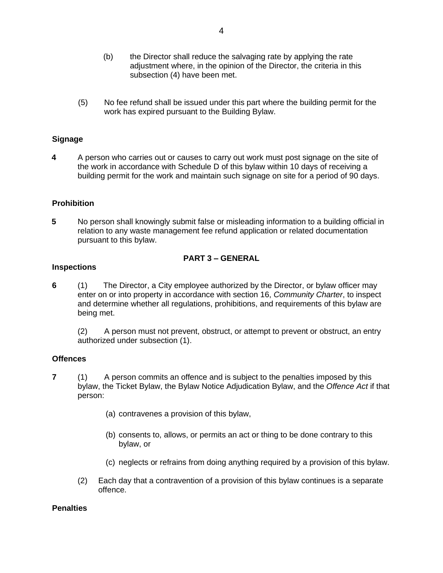- (b) the Director shall reduce the salvaging rate by applying the rate adjustment where, in the opinion of the Director, the criteria in this subsection (4) have been met.
- (5) No fee refund shall be issued under this part where the building permit for the work has expired pursuant to the Building Bylaw.

#### **Signage**

**4** A person who carries out or causes to carry out work must post signage on the site of the work in accordance with Schedule D of this bylaw within 10 days of receiving a building permit for the work and maintain such signage on site for a period of 90 days.

#### **Prohibition**

**5** No person shall knowingly submit false or misleading information to a building official in relation to any waste management fee refund application or related documentation pursuant to this bylaw.

#### **PART 3 – GENERAL**

#### **Inspections**

**6** (1) The Director, a City employee authorized by the Director, or bylaw officer may enter on or into property in accordance with section 16, *Community Charter*, to inspect and determine whether all regulations, prohibitions, and requirements of this bylaw are being met.

(2) A person must not prevent, obstruct, or attempt to prevent or obstruct, an entry authorized under subsection (1).

#### **Offences**

- **7** (1) A person commits an offence and is subject to the penalties imposed by this bylaw, the Ticket Bylaw, the Bylaw Notice Adjudication Bylaw, and the *Offence Act* if that person:
	- (a) contravenes a provision of this bylaw,
	- (b) consents to, allows, or permits an act or thing to be done contrary to this bylaw, or
	- (c) neglects or refrains from doing anything required by a provision of this bylaw.
	- (2) Each day that a contravention of a provision of this bylaw continues is a separate offence.

#### **Penalties**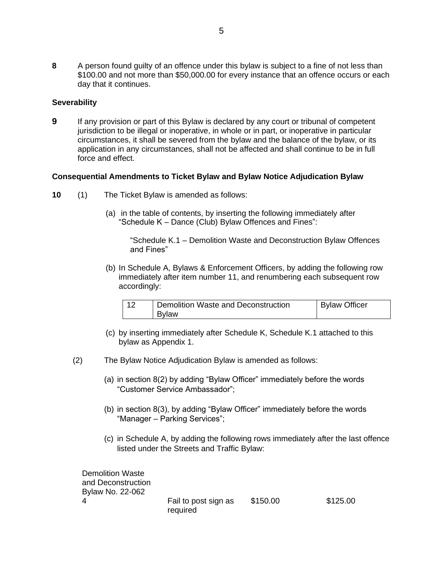**8** A person found guilty of an offence under this bylaw is subject to a fine of not less than \$100.00 and not more than \$50,000.00 for every instance that an offence occurs or each day that it continues.

#### **Severability**

**9** If any provision or part of this Bylaw is declared by any court or tribunal of competent jurisdiction to be illegal or inoperative, in whole or in part, or inoperative in particular circumstances, it shall be severed from the bylaw and the balance of the bylaw, or its application in any circumstances, shall not be affected and shall continue to be in full force and effect.

#### **Consequential Amendments to Ticket Bylaw and Bylaw Notice Adjudication Bylaw**

- **10** (1) The Ticket Bylaw is amended as follows:
	- (a) in the table of contents, by inserting the following immediately after "Schedule K – Dance (Club) Bylaw Offences and Fines":

"Schedule K.1 – Demolition Waste and Deconstruction Bylaw Offences and Fines"

(b) In Schedule A, Bylaws & Enforcement Officers, by adding the following row immediately after item number 11, and renumbering each subsequent row accordingly:

| - 1 വ | Demolition Waste and Deconstruction | <b>Bylaw Officer</b> |
|-------|-------------------------------------|----------------------|
|       | <b>Bylaw</b>                        |                      |

- (c) by inserting immediately after Schedule K, Schedule K.1 attached to this bylaw as Appendix 1.
- (2) The Bylaw Notice Adjudication Bylaw is amended as follows:
	- (a) in section 8(2) by adding "Bylaw Officer" immediately before the words "Customer Service Ambassador";
	- (b) in section 8(3), by adding "Bylaw Officer" immediately before the words "Manager – Parking Services";
	- (c) in Schedule A, by adding the following rows immediately after the last offence listed under the Streets and Traffic Bylaw:

| Demolition Waste   |                      |          |          |
|--------------------|----------------------|----------|----------|
| and Deconstruction |                      |          |          |
| Bylaw No. 22-062   |                      |          |          |
|                    | Fail to post sign as | \$150.00 | \$125.00 |
|                    | required             |          |          |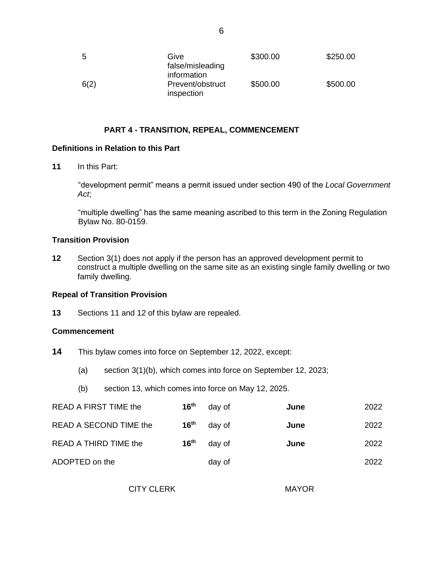| -5   | Give<br>false/misleading<br>information | \$300.00 | \$250.00 |
|------|-----------------------------------------|----------|----------|
| 6(2) | Prevent/obstruct<br>inspection          | \$500.00 | \$500.00 |

#### **PART 4 - TRANSITION, REPEAL, COMMENCEMENT**

#### **Definitions in Relation to this Part**

**11** In this Part:

"development permit" means a permit issued under section 490 of the *Local Government Act*;

"multiple dwelling" has the same meaning ascribed to this term in the Zoning Regulation Bylaw No. 80-0159.

#### **Transition Provision**

**12** Section 3(1) does not apply if the person has an approved development permit to construct a multiple dwelling on the same site as an existing single family dwelling or two family dwelling.

#### **Repeal of Transition Provision**

**13** Sections 11 and 12 of this bylaw are repealed.

#### **Commencement**

- **14** This bylaw comes into force on September 12, 2022, except:
	- (a) section 3(1)(b), which comes into force on September 12, 2023;
	- (b) section 13, which comes into force on May 12, 2025.

| READ A FIRST TIME the  | 16 <sup>th</sup> | day of | June | 2022 |
|------------------------|------------------|--------|------|------|
| READ A SECOND TIME the | 16 <sup>th</sup> | day of | June | 2022 |
| READ A THIRD TIME the  | 16 <sup>th</sup> | day of | June | 2022 |
| ADOPTED on the         |                  | day of |      | 2022 |

CITY CLERK MAYOR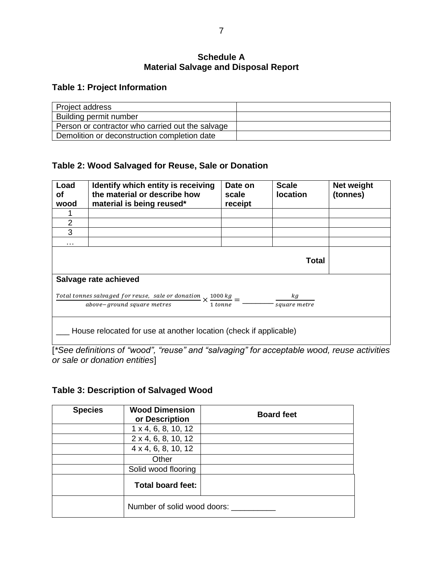### **Schedule A Material Salvage and Disposal Report**

## **Table 1: Project Information**

| Project address                                  |  |
|--------------------------------------------------|--|
| Building permit number                           |  |
| Person or contractor who carried out the salvage |  |
| Demolition or deconstruction completion date     |  |

## **Table 2: Wood Salvaged for Reuse, Sale or Donation**

| Load<br>οf<br>wood                                                                                                                                    | Identify which entity is receiving<br>the material or describe how<br>material is being reused* | Date on<br>scale<br>receipt | <b>Scale</b><br><b>location</b> | Net weight<br>(tonnes) |  |
|-------------------------------------------------------------------------------------------------------------------------------------------------------|-------------------------------------------------------------------------------------------------|-----------------------------|---------------------------------|------------------------|--|
|                                                                                                                                                       |                                                                                                 |                             |                                 |                        |  |
| 2                                                                                                                                                     |                                                                                                 |                             |                                 |                        |  |
| 3                                                                                                                                                     |                                                                                                 |                             |                                 |                        |  |
|                                                                                                                                                       |                                                                                                 |                             |                                 |                        |  |
| Total                                                                                                                                                 |                                                                                                 |                             |                                 |                        |  |
| Salvage rate achieved                                                                                                                                 |                                                                                                 |                             |                                 |                        |  |
| Total tonnes salvaged for reuse, sale or donation $\times \frac{1000 \text{ kg}}{}$ =<br>k.g<br>above-ground square metres<br>1 tonne<br>square metre |                                                                                                 |                             |                                 |                        |  |
| House relocated for use at another location (check if applicable)                                                                                     |                                                                                                 |                             |                                 |                        |  |

[*\*See definitions of "wood", "reuse" and "salvaging" for acceptable wood, reuse activities or sale or donation entities*]

## **Table 3: Description of Salvaged Wood**

| <b>Species</b> | <b>Wood Dimension</b><br>or Description | <b>Board feet</b> |
|----------------|-----------------------------------------|-------------------|
|                | $1 \times 4, 6, 8, 10, 12$              |                   |
|                | 2 x 4, 6, 8, 10, 12                     |                   |
|                | 4 x 4, 6, 8, 10, 12                     |                   |
|                | Other                                   |                   |
|                | Solid wood flooring                     |                   |
|                | <b>Total board feet:</b>                |                   |
|                | Number of solid wood doors:             |                   |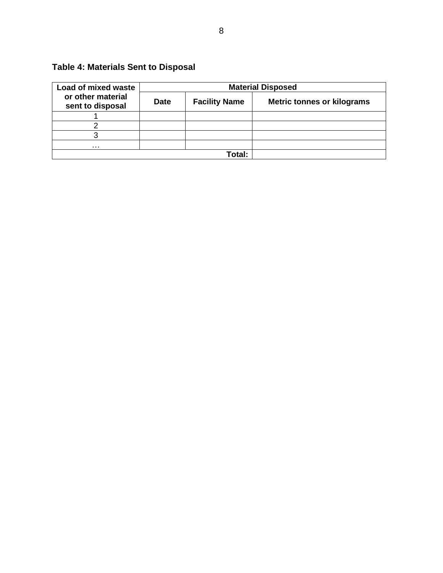# **Table 4: Materials Sent to Disposal**

| Load of mixed waste                   | <b>Material Disposed</b> |                      |                                   |  |
|---------------------------------------|--------------------------|----------------------|-----------------------------------|--|
| or other material<br>sent to disposal | <b>Date</b>              | <b>Facility Name</b> | <b>Metric tonnes or kilograms</b> |  |
|                                       |                          |                      |                                   |  |
|                                       |                          |                      |                                   |  |
|                                       |                          |                      |                                   |  |
| .                                     |                          |                      |                                   |  |
|                                       |                          | ™ntal∙               |                                   |  |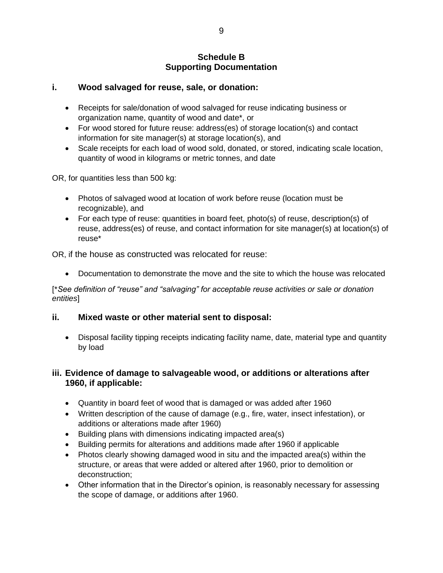### **Schedule B Supporting Documentation**

## **i. Wood salvaged for reuse, sale, or donation:**

- Receipts for sale/donation of wood salvaged for reuse indicating business or organization name, quantity of wood and date\*, or
- For wood stored for future reuse: address(es) of storage location(s) and contact information for site manager(s) at storage location(s), and
- Scale receipts for each load of wood sold, donated, or stored, indicating scale location, quantity of wood in kilograms or metric tonnes, and date

OR, for quantities less than 500 kg:

- Photos of salvaged wood at location of work before reuse (location must be recognizable), and
- For each type of reuse: quantities in board feet, photo(s) of reuse, description(s) of reuse, address(es) of reuse, and contact information for site manager(s) at location(s) of reuse\*

OR, if the house as constructed was relocated for reuse:

• Documentation to demonstrate the move and the site to which the house was relocated

[\**See definition of "reuse" and "salvaging" for acceptable reuse activities or sale or donation entities*]

## **ii. Mixed waste or other material sent to disposal:**

• Disposal facility tipping receipts indicating facility name, date, material type and quantity by load

## **iii. Evidence of damage to salvageable wood, or additions or alterations after 1960, if applicable:**

- Quantity in board feet of wood that is damaged or was added after 1960
- Written description of the cause of damage (e.g., fire, water, insect infestation), or additions or alterations made after 1960)
- Building plans with dimensions indicating impacted area(s)
- Building permits for alterations and additions made after 1960 if applicable
- Photos clearly showing damaged wood in situ and the impacted area(s) within the structure, or areas that were added or altered after 1960, prior to demolition or deconstruction;
- Other information that in the Director's opinion, is reasonably necessary for assessing the scope of damage, or additions after 1960.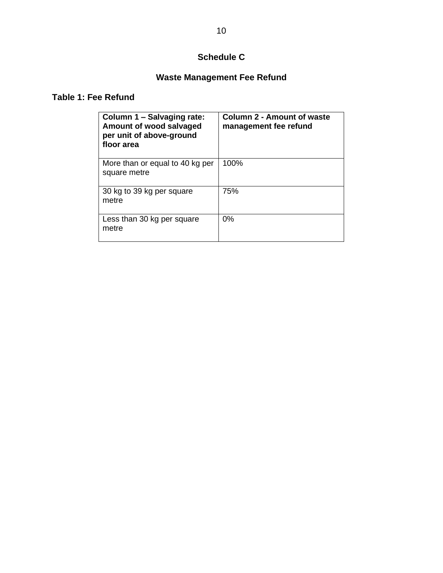## **Schedule C**

# **Waste Management Fee Refund**

## **Table 1: Fee Refund**

| Column 1 - Salvaging rate:<br>Amount of wood salvaged<br>per unit of above-ground<br>floor area | <b>Column 2 - Amount of waste</b><br>management fee refund |
|-------------------------------------------------------------------------------------------------|------------------------------------------------------------|
| More than or equal to 40 kg per<br>square metre                                                 | 100%                                                       |
| 30 kg to 39 kg per square<br>metre                                                              | 75%                                                        |
| Less than 30 kg per square<br>metre                                                             | 0%                                                         |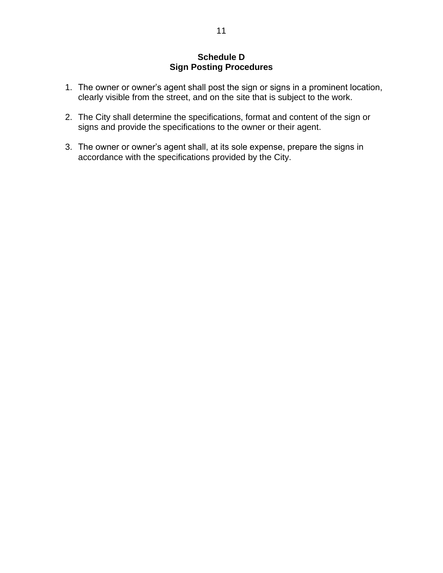## **Schedule D Sign Posting Procedures**

- 1. The owner or owner's agent shall post the sign or signs in a prominent location, clearly visible from the street, and on the site that is subject to the work.
- 2. The City shall determine the specifications, format and content of the sign or signs and provide the specifications to the owner or their agent.
- 3. The owner or owner's agent shall, at its sole expense, prepare the signs in accordance with the specifications provided by the City.